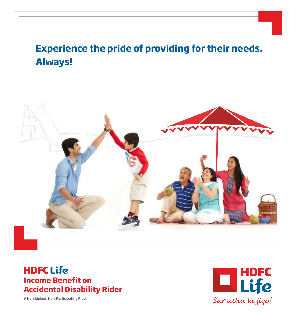# **Experience the pride of providing for their needs. Always!**



## **HDFC Life Income Benefit on Accidental Disability Rider**

A Non-Linked, Non-Participating Rider

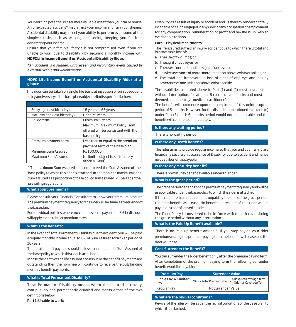Your earning potential is a far more valuable asset than your car or house. An unexpected accident\* may affect your income and ruin your dreams. Accidental disability may affect your ability to perform even some of the simplest tasks such as walking and seeing, keeping you far from generating your income.

Ensure that your family's lifestyle is not compromised even if you are unable to work due to disability - by securing a monthly income with **HDFC Life Income Benefit on Accidental Disability Rider.** 

#### *\*An accident is a sudden, unforeseen and involuntary event caused by external, visible and violent means.*

#### **HDFC Life Income Benet on Accidental Disability Rider at a glance**

This rider can be taken on single life basis at inception or on subsequent policy anniversary of the base plan subject to limits specified below:

| Entry age (last birthday)    | 18 years to 65 years                              |
|------------------------------|---------------------------------------------------|
| Maturity age (last birthday) | Up to 75 years                                    |
| Policy term                  | Minimum: 5 years                                  |
|                              | Maximum: Maximum Policy Term                      |
|                              | offered will be consistent with the               |
|                              | base policy.                                      |
| Premium payment term         | Less than or equal to the premium                 |
|                              | payment term of the base plan                     |
| Minimum Sum Assured          | Rs 100,000                                        |
| Maximum Sum Assured          | No limit, subject to satisfactory<br>underwriting |

# The maximum Sum Assured shall not exceed the Sum Assured of the base policy to which this rider is attached. In addition, the maximum rider sum assured as a proportion of base policy sum assured will be as per the prevailing regulations

#### **What about premiums?**

Please consult your Financial Consultant to know your premium amount. The premium payment frequency for the rider will be same as frequency of the base plan.

For individual policies where no commission is payable, a 3.5% discount will apply to the tabular premium rates.

#### **What is the benet?**

In the event of Total Permanent Disability due to accident, you will be paid a regular monthly income equal to 1% of Sum Assured for a fixed period of 10 years.

The total benefit payable should be less than or equal to Sum Assured of the base policy to which this rider is attached.

In case the death of the life assured occurs while the benefit payments are outstanding then the nominee will continue to receive the outstanding monthly benefit payments.

#### **What is Total Permanent Disability?**

Total Permanent Disability means when the insured is totally, continuously and permanently disabled and meets either of the two definitions below

Part 1: Unable to work:

Disability as a result of injury or accident and is thereby rendered totally incapable of being engaged in any work or any occupation or employment for any compensation, remuneration or profit and he/she is unlikely to ever be able to do so.

#### Part 2: Physical Impairments:

The life assured suffers an injury/accident due to which there is total and irrecoverable loss of:

- a. The use of two limbs; or
- b. The sight of both eyes; or
- c. The use of one limb and the sight of one eye; or
- d. Loss by severance of two or more limbs at or above wrists or ankles; or
- e. The total and irrecoverable loss of sight of one eye and loss by severance of one limb at or above wrist or ankle.

The disabilities as stated above in Part (1) and (2) must have lasted, without interruption, for at least 6 consecutive months and must, be deemed permanent by a medical practitioner\*.

The benefit will commence upon the completion of this uninterrupted period of 6 months. However, for the disabilities mentioned in (d) and (e) under Part (2), such 6 months period would not be applicable and the benefit will commence immediately.

#### **Is there any waiting period?**

There is no waiting period.

#### **Is there any Death benefit?**

The rider aims to provide regular income so that you and your family are financially secure on occurrence of Disability due to accident and hence no death benefit is payable.

#### **Is there any Maturity benefit?**

There is no maturity benefit available under this rider.

#### **What is the grace period?**

The grace period depends on the premium payment frequency and will be as applicable under the base policy to which this rider is attached.

If the rider premium due remains unpaid by the end of the grace period, the rider benefit will cease. No benefits in respect of this rider will be payable in case of lapsed policies.

The Rider Policy is considered to be in-force with the risk cover during the grace period without any interruption.

#### **What is the Paid Up Benefit available?**

There is no Paid Up benefit available. If you stop paying your rider premiums during the premium paying term the benefit will cease and the rider will lapse.

#### **Can I Surrender the Benefit?**

You can surrender the Rider benefit only after the premium paying term. After completion of the premium paying term the following surrender benefit would be payable:

| <b>Premium Pay</b> | <b>Surrender Value</b>                                                     |
|--------------------|----------------------------------------------------------------------------|
|                    | Single Pay & Limited   70% x Total Premiums Paid x Unexplore Loverage Term |
| Regular Pay        | No surrender Value                                                         |

#### **What are the revival conditions?**

Revival of the rider will be as per the revival conditions of the base plan to which it is attached.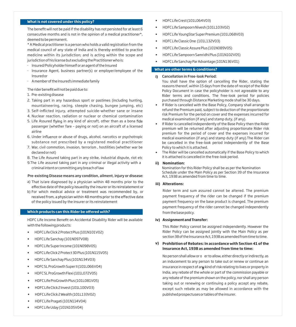#### **What is not covered under this policy?**

The benefit will not be paid if the disability has not persisted for at least 6 consecutive months and is not in the opinion of a medical practitioner\*, deemed to be permanent.

\* A Medical practitioner is a person who holds a valid registration from the medical council of any state of India and is thereby entitled to practice medicine within its jurisdiction; and is acting within the scope and jurisdiction of his license but excluding the Practitioner who is:

- · Insured/Policyholder himself or an agent of the Insured
- · Insurance Agent, business partner(s) or employer/employee of the Insured or
- · A member of the Insured's immediate family

#### The rider benefit will not be paid due to:

1. Pre-existing disease

- 2. Taking part in any hazardous sport or pastimes (including hunting, mountaineering, racing, steeple chasing, bungee jumping, etc)
- 3. Self-inflicted injury, attempted suicide-whether sane or insane
- 4. Nuclear reaction, radiation or nuclear or chemical contamination
- 5. Life Assured flying in any kind of aircraft, other than as a bona fide passenger (whether fare – paying or not) on an aircraft of a licensed airline
- 6. Under influence or abuse of drugs, alcohol, narcotics or psychotropic substance not prescribed by a registered medical practitioner
- 7. War, civil commotion, invasion, terrorism , hostilities (whether war be declared or not)
- 8. The Life Assured taking part in any strike, industrial dispute, riot etc
- 9.The Life assured taking part in any criminal or illegal activity with a criminal intent or committing any breach of law

#### Pre-existing Disease means any condition, ailment, injury or disease:

- a) That is/are diagnosed by a physician within 48 months prior to the effective date of the policy issued by the insurer or its reinstatement or
- b) For which medical advice or treatment was recommended by, or ֬֕֕֕ received from, a physician within 48 months prior to the effective date of the policy issued by the insurer or its reinstatement

#### **Which products can this Rider be offered with?**

HDFC Life Income Benefit on Accidental Disability Rider will be available with the following products:

- HDFC Life Click 2 Protect Plus (101N101V02)
- HDFC Life Sanchay (101N097V08)
- HDFC Life Super Income (101N098V05)
- HDFC Life Click 2 Protect 3D Plus (101N115V05)
- HDFC Life Sanchay Plus (101N134V03)
- HDFC SL ProGrowth Super II (101L066V04)
- HDFC SL ProGrowth Flexi (101L072V05)
- HDFC Life ProGrowth Plus (101L081V05)
- HDFC Life Click 2 Invest (101L100V03)
- HDFC Life Click 2 Wealth (101L133V02)
- HDFC Life Pragati (101N114V04)
- HDFC Life Uday (101N105V04)
- HDFC Life Crest (101L064V03)
- HDFC Life Sampoorn Nivesh (101L103V02)
- HDFC Life YoungStar Super Premium (101L068V03)
- HDFC Life Classic One (101L132V03)
- HDFC Life Classic Assure Plus (101N089V05)
- HDFC Life Sampoorn Samridhi Plus (101N102V05)
- HDFC Life Sanchay Par Advantage (101N136V01)

#### **What are other terms & conditions?**

#### **i)**  Cancellation in Free-look Period:

- You shall have the option of cancelling the Rider, stating the reasons thereof, within 15 days from the date of receipt of the Rider Policy Document in case the policyholder is not agreeable to any Rider terms and conditions. The free-look period for policies purchased through Distance Marketing mode shall be 30 days.
- If Rider is cancelled with the Base Policy, Company shall arrange to refund the Premium paid, subject to deduction of the proportionate risk Premium for the period on cover and the expenses incurred for medical examination (if any) and stamp duty, (if any).
- If Rider is cancelled independently of the Base Policy then the Rider premium will be returned after adjusting proportionate Rider risk premium for the period of cover and the expenses incurred for medical examination (if any) and stamp duty (if any).The Rider can be cancelled in the free-look period independently of the Base Policy to which it is attached.
- The Rider will be cancelled automatically if the Base Policy to which it is attached is cancelled in the free-look period.

#### **ii) Nomination:**

Nomination for this Rider Policy shall be as per the Nomination Schedule under the Main Policy as per Section 39 of the Insurance Act, 1938 as amended from time to time.

#### **iii) Alterations:**

Rider term and sum assured cannot be altered. The premium payment frequency of the rider can be changed if the premium payment frequency on the base product is changed. The premium payment frequency of the rider cannot be changed independently from the base policy.

#### **iv) Assignment and Transfer:**

This Rider Policy cannot be assigned independently. However the Rider Policy can be assigned jointly with the Main Policy as per section 38 of the Insurance Act, 1938 as amended from time to time.

#### **v) Prohibition of Rebates: In accordance with Section 41 of the Insurance Act, 1938 as amended from time to time:**

No person shall allow or o er to allow, either directly or indirectly, as an inducement to any person to take out or renew or continue an insurance in respect of any kind of risk relating to lives or property in India, any rebate of the whole or part of the commission payable or any rebate of the premium shown on the policy, nor shall any person taking out or renewing or continuing a policy accept any rebate, except such rebate as may be allowed in accordance with the published prospectuses or tables of the insurer.